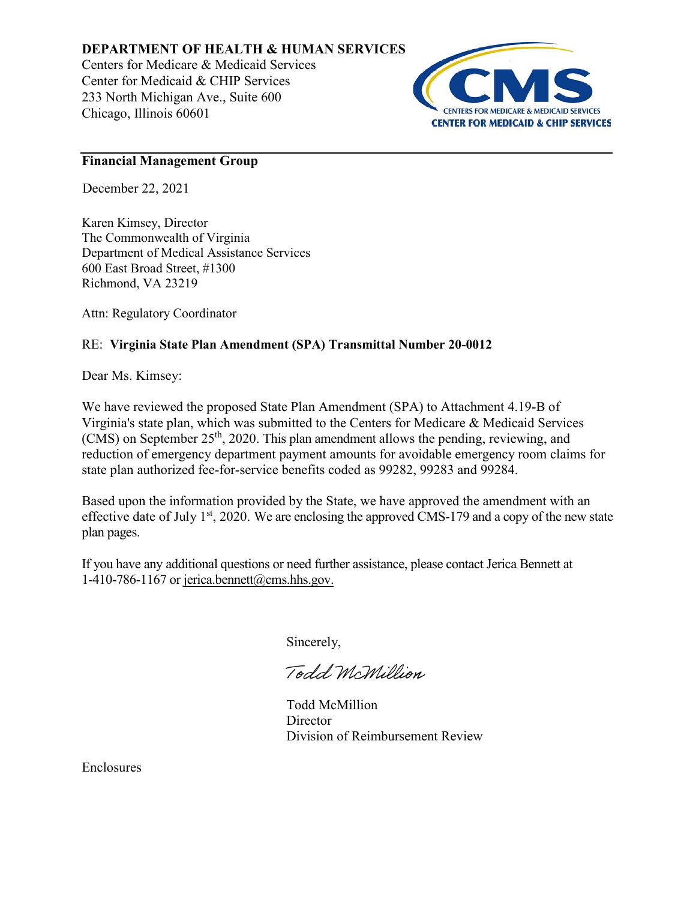# **DEPARTMENT OF HEALTH & HUMAN SERVICES**

Centers for Medicare & Medicaid Services Center for Medicaid & CHIP Services 233 North Michigan Ave., Suite 600 Chicago, Illinois 60601



## **Financial Management Group**

December 22, 2021

Karen Kimsey, Director The Commonwealth of Virginia Department of Medical Assistance Services 600 East Broad Street, #1300 Richmond, VA 23219

Attn: Regulatory Coordinator

# RE: **Virginia State Plan Amendment (SPA) Transmittal Number 20-0012**

Dear Ms. Kimsey:

We have reviewed the proposed State Plan Amendment (SPA) to Attachment 4.19-B of Virginia's state plan, which was submitted to the Centers for Medicare & Medicaid Services (CMS) on September 25th, 2020. This plan amendment allows the pending, reviewing, and reduction of emergency department payment amounts for avoidable emergency room claims for state plan authorized fee-for-service benefits coded as 99282, 99283 and 99284.

Based upon the information provided by the State, we have approved the amendment with an effective date of July  $1<sup>st</sup>$ , 2020. We are enclosing the approved CMS-179 and a copy of the new state plan pages.

If you have any additional questions or need further assistance, please contact Jerica Bennett at 1-410-786-1167 or jerica.bennett@cms.hhs.gov.

Sincerely,

Todd McMillion

Todd McMillion **Director** Division of Reimbursement Review

Enclosures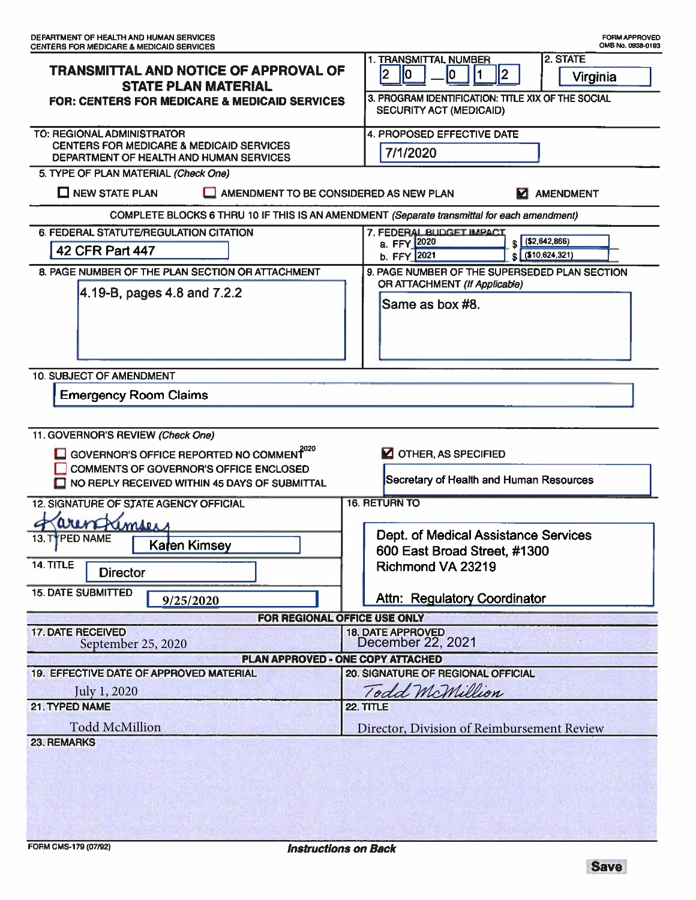|                                                                                                                                                                                                                                                                         | 2. STATE<br>1. TRANSMITTAL NUMBER                                                             |
|-------------------------------------------------------------------------------------------------------------------------------------------------------------------------------------------------------------------------------------------------------------------------|-----------------------------------------------------------------------------------------------|
| TRANSMITTAL AND NOTICE OF APPROVAL OF                                                                                                                                                                                                                                   | 2<br>12<br>lО<br>10<br>Virginia                                                               |
| <b>STATE PLAN MATERIAL</b><br><b>FOR: CENTERS FOR MEDICARE &amp; MEDICAID SERVICES</b>                                                                                                                                                                                  | 3. PROGRAM IDENTIFICATION: TITLE XIX OF THE SOCIAL<br>SECURITY ACT (MEDICAID)                 |
| TO: REGIONAL ADMINISTRATOR                                                                                                                                                                                                                                              | 4. PROPOSED EFFECTIVE DATE                                                                    |
| <b>CENTERS FOR MEDICARE &amp; MEDICAID SERVICES</b><br>DEPARTMENT OF HEALTH AND HUMAN SERVICES                                                                                                                                                                          | 7/1/2020                                                                                      |
| 5. TYPE OF PLAN MATERIAL (Check One)                                                                                                                                                                                                                                    |                                                                                               |
| $\Box$ NEW STATE PLAN<br>AMENDMENT TO BE CONSIDERED AS NEW PLAN                                                                                                                                                                                                         |                                                                                               |
| <b>AMENDMENT</b><br>м<br>COMPLETE BLOCKS 6 THRU 10 IF THIS IS AN AMENDMENT (Separate transmittal for each amendment)                                                                                                                                                    |                                                                                               |
| 6. FEDERAL STATUTE/REGULATION CITATION                                                                                                                                                                                                                                  | 7. FEDERAL BUDGET IMPACT                                                                      |
| 42 CFR Part 447                                                                                                                                                                                                                                                         | $$ \left( $2,642,866 \right)$<br>a. FFY 2020<br>$$ \left( $10,624,321 \right)$<br>b. FFY 2021 |
| 8. PAGE NUMBER OF THE PLAN SECTION OR ATTACHMENT                                                                                                                                                                                                                        | 9. PAGE NUMBER OF THE SUPERSEDED PLAN SECTION                                                 |
| 4.19-B, pages 4.8 and 7.2.2                                                                                                                                                                                                                                             | OR ATTACHMENT (If Applicable)                                                                 |
|                                                                                                                                                                                                                                                                         | Same as box #8.                                                                               |
| 10. SUBJECT OF AMENDMENT                                                                                                                                                                                                                                                |                                                                                               |
| <b>Emergency Room Claims</b>                                                                                                                                                                                                                                            |                                                                                               |
|                                                                                                                                                                                                                                                                         |                                                                                               |
| 11. GOVERNOR'S REVIEW (Check One)<br>$\Box$ GOVERNOR'S OFFICE REPORTED NO COMMENT <sup>2020</sup><br><b>Z</b> OTHER, AS SPECIFIED<br>COMMENTS OF GOVERNOR'S OFFICE ENCLOSED<br>Secretary of Health and Human Resources<br>NO REPLY RECEIVED WITHIN 45 DAYS OF SUBMITTAL |                                                                                               |
| 12. SIGNATURE OF STATE AGENCY OFFICIAL                                                                                                                                                                                                                                  | <b>16. RETURN TO</b>                                                                          |
|                                                                                                                                                                                                                                                                         |                                                                                               |
| aren Kimser<br>13. TYPED NAME                                                                                                                                                                                                                                           | Dept. of Medical Assistance Services                                                          |
| Karen Kimsey                                                                                                                                                                                                                                                            | 600 East Broad Street, #1300                                                                  |
| 14. TITLE<br><b>Director</b>                                                                                                                                                                                                                                            | Richmond VA 23219                                                                             |
| <b>15. DATE SUBMITTED</b><br>9/25/2020                                                                                                                                                                                                                                  | <b>Attn: Regulatory Coordinator</b>                                                           |
| FOR REGIONAL OFFICE USE ONLY                                                                                                                                                                                                                                            |                                                                                               |
| <b>17. DATE RECEIVED</b>                                                                                                                                                                                                                                                | <b>18. DATE APPROVED</b>                                                                      |
| September 25, 2020                                                                                                                                                                                                                                                      | December 22, 2021                                                                             |
| <b>PLAN APPROVED - ONE COPY ATTACHED</b>                                                                                                                                                                                                                                |                                                                                               |
| 19. EFFECTIVE DATE OF APPROVED MATERIAL                                                                                                                                                                                                                                 | 20. SIGNATURE OF REGIONAL OFFICIAL                                                            |
| July 1, 2020<br>21. TYPED NAME                                                                                                                                                                                                                                          | Todd McMillion                                                                                |
|                                                                                                                                                                                                                                                                         | 22. TITLE                                                                                     |
| <b>Todd McMillion</b>                                                                                                                                                                                                                                                   | Director, Division of Reimbursement Review                                                    |
| <b>23. REMARKS</b>                                                                                                                                                                                                                                                      |                                                                                               |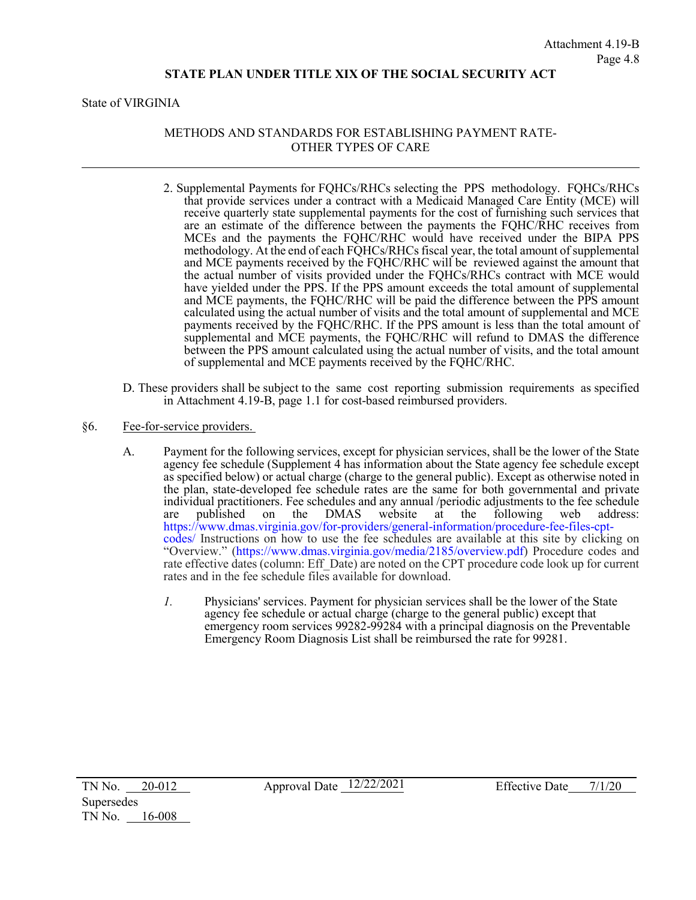#### **STATE PLAN UNDER TITLE XIX OF THE SOCIAL SECURITY ACT**

State of VIRGINIA

### METHODS AND STANDARDS FOR ESTABLISHING PAYMENT RATE-OTHER TYPES OF CARE

- 2. Supplemental Payments for FQHCs/RHCs selecting the PPS methodology. FQHCs/RHCs that provide services under a contract with a Medicaid Managed Care Entity (MCE) will receive quarterly state supplemental payments for the cost of furnishing such services that are an estimate of the difference between the payments the FQHC/RHC receives from MCEs and the payments the FQHC/RHC would have received under the BIPA PPS methodology. At the end of each FQHCs/RHCs fiscal year, the total amount of supplemental and MCE payments received by the FQHC/RHC will be reviewed against the amount that the actual number of visits provided under the FQHCs/RHCs contract with MCE would have yielded under the PPS. If the PPS amount exceeds the total amount of supplemental and MCE payments, the FQHC/RHC will be paid the difference between the PPS amount calculated using the actual number of visits and the total amount of supplemental and MCE payments received by the FQHC/RHC. If the PPS amount is less than the total amount of supplemental and MCE payments, the FQHC/RHC will refund to DMAS the difference between the PPS amount calculated using the actual number of visits, and the total amount of supplemental and MCE payments received by the FQHC/RHC.
- D. These providers shall be subject to the same cost reporting submission requirements as specified in Attachment 4.19-B, page 1.1 for cost-based reimbursed providers.
- §6. Fee-for-service providers.
	- A. Payment for the following services, except for physician services, shall be the lower of the State agency fee schedule (Supplement 4 has information about the State agency fee schedule except as specified below) or actual charge (charge to the general public). Except as otherwise noted in the plan, state-developed fee schedule rates are the same for both governmental and private individual practitioners. Fee schedules and any annual /periodic adjustments to the fee schedule are published on the DMAS website at the following web address: are published on the DMAS website at the following web address: [https://www.dmas.virginia.gov/for-providers/general-information/procedure-fee-files-cpt](https://www.dmas.virginia.gov/for-providers/general-information/procedure-fee-files-cpt-codes/)[codes/](https://www.dmas.virginia.gov/for-providers/general-information/procedure-fee-files-cpt-codes/) Instructions on how to use the fee schedules are available at this site by clicking on "Overview." [\(https://www.dmas.virginia.gov/media/2185/overview.pdf\)](https://www.dmas.virginia.gov/media/2185/overview.pdf) Procedure codes and rate effective dates (column: Eff Date) are noted on the CPT procedure code look up for current rates and in the fee schedule files available for download.
		- *1.* Physicians' services. Payment for physician services shall be the lower of the State agency fee schedule or actual charge (charge to the general public) except that emergency room services 99282-99284 with a principal diagnosis on the Preventable Emergency Room Diagnosis List shall be reimbursed the rate for 99281.